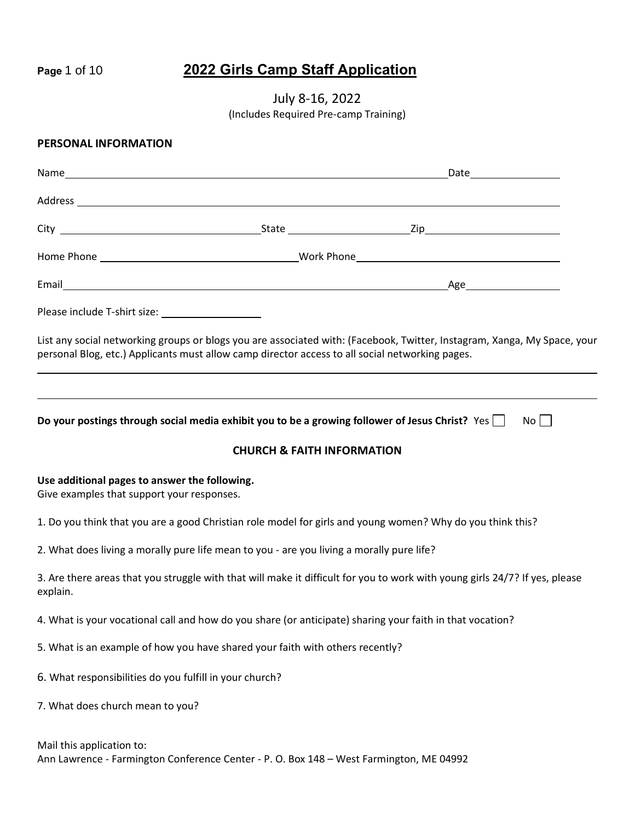# **Page** 1 of 10 **2022 Girls Camp Staff Application**

July 8-16, 2022 (Includes Required Pre-camp Training)

#### **PERSONAL INFORMATION**

|                                                                                             |                                                                                                 | Address <b>contract to the contract of the contract of the contract of the contract of the contract of the contract of the contract of the contract of the contract of the contract of the contract of the contract of the contr</b> |
|---------------------------------------------------------------------------------------------|-------------------------------------------------------------------------------------------------|--------------------------------------------------------------------------------------------------------------------------------------------------------------------------------------------------------------------------------------|
|                                                                                             |                                                                                                 |                                                                                                                                                                                                                                      |
|                                                                                             |                                                                                                 |                                                                                                                                                                                                                                      |
|                                                                                             |                                                                                                 |                                                                                                                                                                                                                                      |
|                                                                                             |                                                                                                 |                                                                                                                                                                                                                                      |
|                                                                                             | personal Blog, etc.) Applicants must allow camp director access to all social networking pages. | List any social networking groups or blogs you are associated with: (Facebook, Twitter, Instagram, Xanga, My Space, your                                                                                                             |
|                                                                                             |                                                                                                 | Do your postings through social media exhibit you to be a growing follower of Jesus Christ? Yes $\Box$<br>$No$                                                                                                                       |
|                                                                                             | <b>CHURCH &amp; FAITH INFORMATION</b>                                                           |                                                                                                                                                                                                                                      |
| Use additional pages to answer the following.<br>Give examples that support your responses. |                                                                                                 |                                                                                                                                                                                                                                      |
|                                                                                             |                                                                                                 | 1. Do you think that you are a good Christian role model for girls and young women? Why do you think this?                                                                                                                           |
|                                                                                             | 2. What does living a morally pure life mean to you - are you living a morally pure life?       |                                                                                                                                                                                                                                      |
| explain.                                                                                    |                                                                                                 | 3. Are there areas that you struggle with that will make it difficult for you to work with young girls 24/7? If yes, please                                                                                                          |
|                                                                                             |                                                                                                 | 4. What is your vocational call and how do you share (or anticipate) sharing your faith in that vocation?                                                                                                                            |
|                                                                                             | 5. What is an example of how you have shared your faith with others recently?                   |                                                                                                                                                                                                                                      |
| 6. What responsibilities do you fulfill in your church?                                     |                                                                                                 |                                                                                                                                                                                                                                      |
| 7. What does church mean to you?                                                            |                                                                                                 |                                                                                                                                                                                                                                      |

Mail this application to: Ann Lawrence - Farmington Conference Center - P. O. Box 148 – West Farmington, ME 04992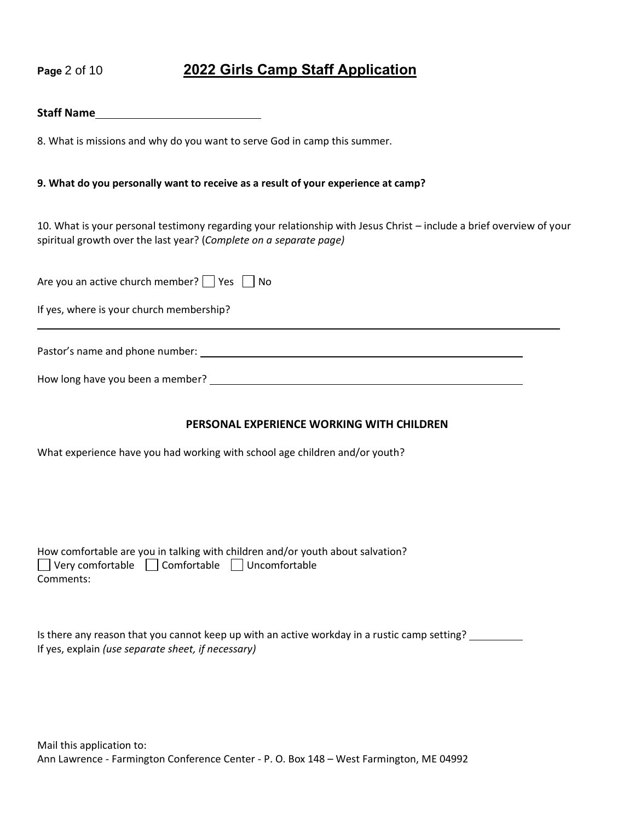# **Page** 2 of 10 **2022 Girls Camp Staff Application**

#### **Staff Name**

8. What is missions and why do you want to serve God in camp this summer.

#### **9. What do you personally want to receive as a result of your experience at camp?**

10. What is your personal testimony regarding your relationship with Jesus Christ – include a brief overview of your spiritual growth over the last year? (*Complete on a separate page)*

| Are you an active church member? $\Box$ Yes $\Box$ No |  |
|-------------------------------------------------------|--|
| If yes, where is your church membership?              |  |
| Pastor's name and phone number:                       |  |
| How long have you been a member?                      |  |

#### **PERSONAL EXPERIENCE WORKING WITH CHILDREN**

What experience have you had working with school age children and/or youth?

|                                                                 | How comfortable are you in talking with children and/or youth about salvation? |  |
|-----------------------------------------------------------------|--------------------------------------------------------------------------------|--|
| $\Box$ Very comfortable $\Box$ Comfortable $\Box$ Uncomfortable |                                                                                |  |
| Comments:                                                       |                                                                                |  |

| Is there any reason that you cannot keep up with an active workday in a rustic camp setting? |  |
|----------------------------------------------------------------------------------------------|--|
| If yes, explain (use separate sheet, if necessary)                                           |  |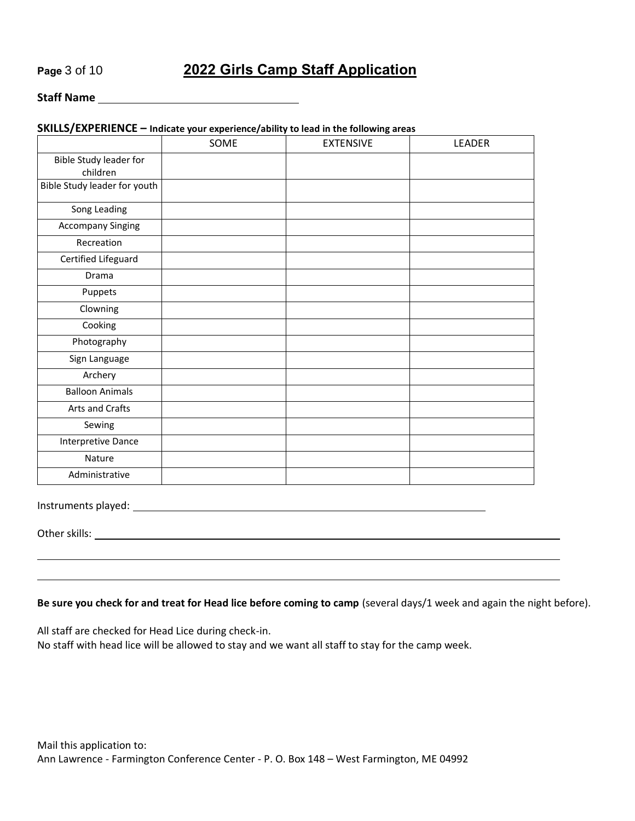## **Page** 3 of 10 **2022 Girls Camp Staff Application**

#### **Staff Name**

#### **SKILLS/EXPERIENCE – Indicate your experience/ability to lead in the following areas**

|                                    | SOME | <b>EXTENSIVE</b> | LEADER |
|------------------------------------|------|------------------|--------|
| Bible Study leader for<br>children |      |                  |        |
| Bible Study leader for youth       |      |                  |        |
| Song Leading                       |      |                  |        |
| <b>Accompany Singing</b>           |      |                  |        |
| Recreation                         |      |                  |        |
| Certified Lifeguard                |      |                  |        |
| Drama                              |      |                  |        |
| Puppets                            |      |                  |        |
| Clowning                           |      |                  |        |
| Cooking                            |      |                  |        |
| Photography                        |      |                  |        |
| Sign Language                      |      |                  |        |
| Archery                            |      |                  |        |
| <b>Balloon Animals</b>             |      |                  |        |
| Arts and Crafts                    |      |                  |        |
| Sewing                             |      |                  |        |
| Interpretive Dance                 |      |                  |        |
| Nature                             |      |                  |        |
| Administrative                     |      |                  |        |

Instruments played:

Other skills:

#### **Be sure you check for and treat for Head lice before coming to camp** (several days/1 week and again the night before).

All staff are checked for Head Lice during check-in.

No staff with head lice will be allowed to stay and we want all staff to stay for the camp week.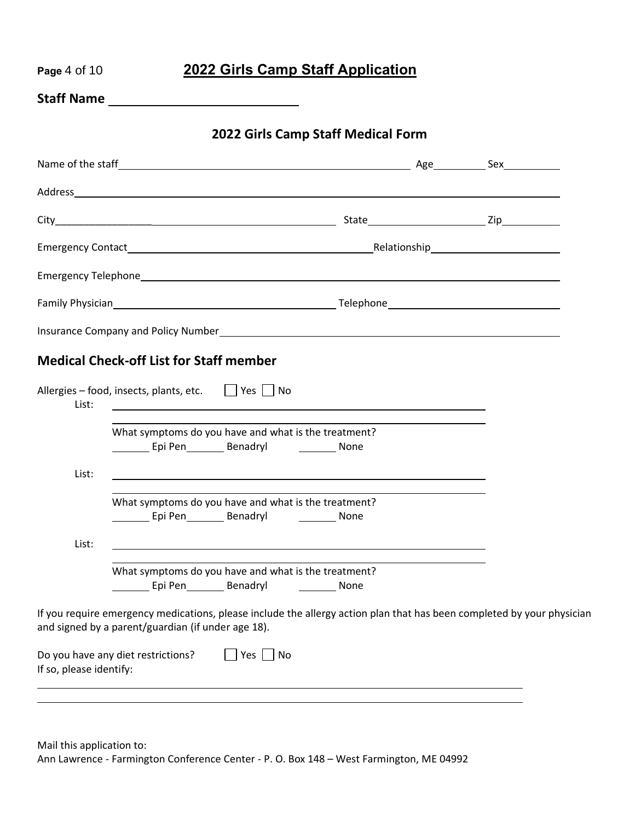| Page 4 of 10            |                                                                                                                                                                                                                                      |                                                                                                                                        | 2022 Girls Camp Staff Application                                                                                     |                                                                                                                        |
|-------------------------|--------------------------------------------------------------------------------------------------------------------------------------------------------------------------------------------------------------------------------------|----------------------------------------------------------------------------------------------------------------------------------------|-----------------------------------------------------------------------------------------------------------------------|------------------------------------------------------------------------------------------------------------------------|
|                         | Staff Name <u>and the state of the state of the state of the state of the state of the state of the state of the state of the state of the state of the state of the state of the state of the state of the state of the state o</u> |                                                                                                                                        |                                                                                                                       |                                                                                                                        |
|                         |                                                                                                                                                                                                                                      |                                                                                                                                        | 2022 Girls Camp Staff Medical Form                                                                                    |                                                                                                                        |
|                         |                                                                                                                                                                                                                                      |                                                                                                                                        |                                                                                                                       |                                                                                                                        |
|                         |                                                                                                                                                                                                                                      |                                                                                                                                        |                                                                                                                       |                                                                                                                        |
|                         |                                                                                                                                                                                                                                      |                                                                                                                                        |                                                                                                                       |                                                                                                                        |
|                         |                                                                                                                                                                                                                                      |                                                                                                                                        |                                                                                                                       |                                                                                                                        |
|                         |                                                                                                                                                                                                                                      |                                                                                                                                        |                                                                                                                       |                                                                                                                        |
|                         |                                                                                                                                                                                                                                      |                                                                                                                                        |                                                                                                                       |                                                                                                                        |
|                         |                                                                                                                                                                                                                                      |                                                                                                                                        |                                                                                                                       |                                                                                                                        |
|                         | <b>Medical Check-off List for Staff member</b>                                                                                                                                                                                       |                                                                                                                                        |                                                                                                                       |                                                                                                                        |
| List:                   | Allergies - food, insects, plants, etc.   Yes   No                                                                                                                                                                                   |                                                                                                                                        | <u> 1989 - Johann Stoff, deutscher Stoffen und der Stoffen und der Stoffen und der Stoffen und der Stoffen und de</u> |                                                                                                                        |
|                         |                                                                                                                                                                                                                                      | What symptoms do you have and what is the treatment?<br>Epi Pen__________ Benadryl ______________ None                                 |                                                                                                                       |                                                                                                                        |
| List:                   |                                                                                                                                                                                                                                      |                                                                                                                                        |                                                                                                                       |                                                                                                                        |
|                         |                                                                                                                                                                                                                                      | What symptoms do you have and what is the treatment?<br>Epi Pen Benadryl Benames Benaming School and The Benaming School and The Bonne |                                                                                                                       |                                                                                                                        |
| List:                   |                                                                                                                                                                                                                                      |                                                                                                                                        |                                                                                                                       |                                                                                                                        |
|                         |                                                                                                                                                                                                                                      | What symptoms do you have and what is the treatment?                                                                                   | <b>Example 20</b> None                                                                                                |                                                                                                                        |
|                         | and signed by a parent/guardian (if under age 18).                                                                                                                                                                                   |                                                                                                                                        |                                                                                                                       | If you require emergency medications, please include the allergy action plan that has been completed by your physician |
| If so, please identify: | Do you have any diet restrictions?                                                                                                                                                                                                   | $Yes \mid \text{No}$                                                                                                                   |                                                                                                                       |                                                                                                                        |
|                         |                                                                                                                                                                                                                                      |                                                                                                                                        |                                                                                                                       |                                                                                                                        |

Mail this application to: Ann Lawrence - Farmington Conference Center - P. O. Box 148 – West Farmington, ME 04992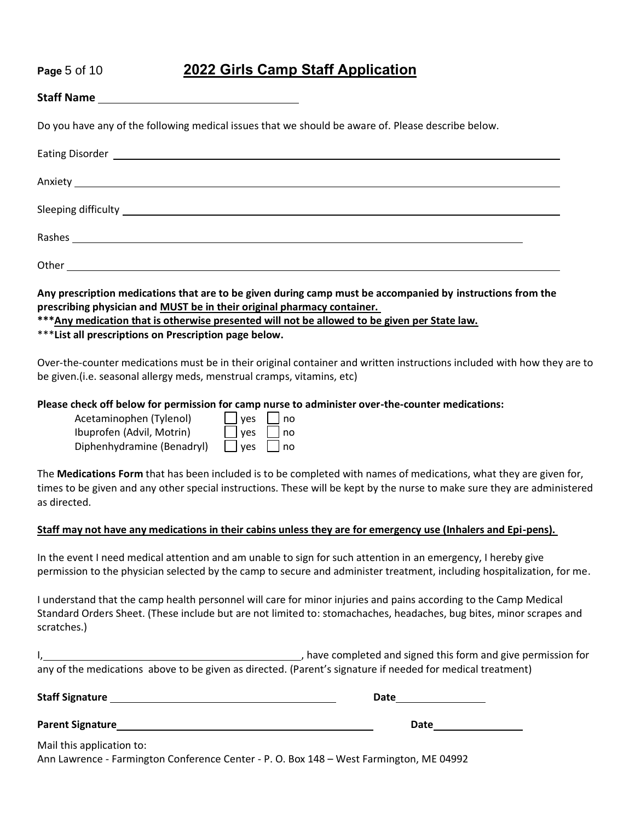## **Page** 5 of 10 **2022 Girls Camp Staff Application**

| Do you have any of the following medical issues that we should be aware of. Please describe below.                                                                                                                                   |  |
|--------------------------------------------------------------------------------------------------------------------------------------------------------------------------------------------------------------------------------------|--|
| Eating Disorder <u>experience</u> and the contract of the contract of the contract of the contract of the contract of the contract of the contract of the contract of the contract of the contract of the contract of the contract   |  |
|                                                                                                                                                                                                                                      |  |
| Sleeping difficulty <b>contract to the contract of the contract of the contract of the contract of the contract of the contract of the contract of the contract of the contract of the contract of the contract of the contract </b> |  |
|                                                                                                                                                                                                                                      |  |
|                                                                                                                                                                                                                                      |  |

**Any prescription medications that are to be given during camp must be accompanied by instructions from the prescribing physician and MUST be in their original pharmacy container.** 

**\*\*\*Any medication that is otherwise presented will not be allowed to be given per State law.**

\*\*\***List all prescriptions on Prescription page below.**

Over-the-counter medications must be in their original container and written instructions included with how they are to be given.(i.e. seasonal allergy meds, menstrual cramps, vitamins, etc)

#### **Please check off below for permission for camp nurse to administer over-the-counter medications:**

| Acetaminophen (Tylenol)    | $\Box$ yes $\Box$ no |           |
|----------------------------|----------------------|-----------|
| Ibuprofen (Advil, Motrin)  | $\Box$ yes $\Box$ no |           |
| Diphenhydramine (Benadryl) | $\Box$ yes           | $\Box$ no |

The **Medications Form** that has been included is to be completed with names of medications, what they are given for, times to be given and any other special instructions. These will be kept by the nurse to make sure they are administered as directed.

#### **Staff may not have any medications in their cabins unless they are for emergency use (Inhalers and Epi-pens).**

In the event I need medical attention and am unable to sign for such attention in an emergency, I hereby give permission to the physician selected by the camp to secure and administer treatment, including hospitalization, for me.

I understand that the camp health personnel will care for minor injuries and pains according to the Camp Medical Standard Orders Sheet. (These include but are not limited to: stomachaches, headaches, bug bites, minor scrapes and scratches.)

, have completed and signed this form and give permission for any of the medications above to be given as directed. (Parent's signature if needed for medical treatment)

| <b>Staff Signature</b>                                                                  | Date |
|-----------------------------------------------------------------------------------------|------|
| <b>Parent Signature</b>                                                                 | Date |
| Mail this application to:                                                               |      |
| Ann Lawrence - Farmington Conference Center - P. O. Box 148 – West Farmington. ME 04992 |      |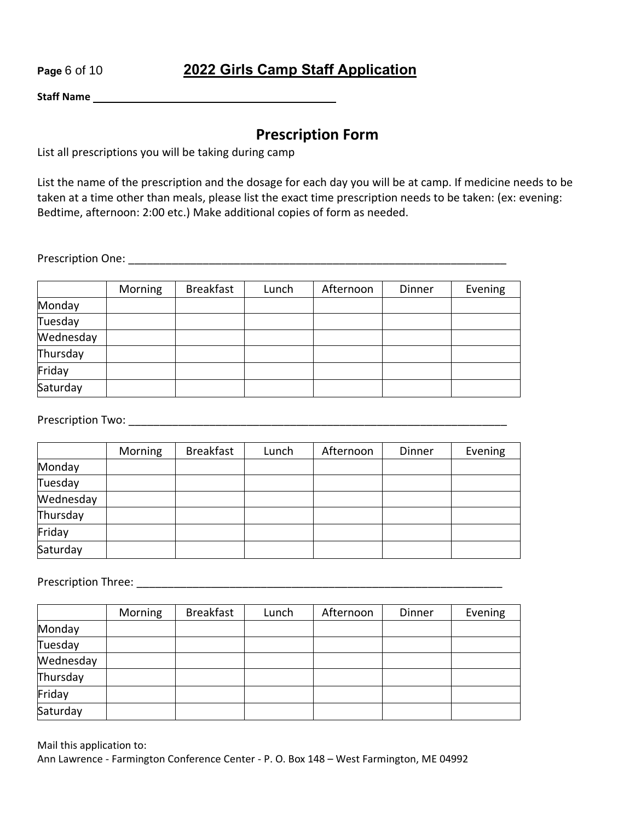## **Page** 6 of 10 **2022 Girls Camp Staff Application**

**Staff Name** 

## **Prescription Form**

List all prescriptions you will be taking during camp

List the name of the prescription and the dosage for each day you will be at camp. If medicine needs to be taken at a time other than meals, please list the exact time prescription needs to be taken: (ex: evening: Bedtime, afternoon: 2:00 etc.) Make additional copies of form as needed.

Prescription One: \_\_\_\_\_\_\_\_\_\_\_\_\_\_\_\_\_\_\_\_\_\_\_\_\_\_\_\_\_\_\_\_\_\_\_\_\_\_\_\_\_\_\_\_\_\_\_\_\_\_\_\_\_\_\_\_\_\_\_\_\_

|           | Morning | <b>Breakfast</b> | Lunch | Afternoon | Dinner | Evening |
|-----------|---------|------------------|-------|-----------|--------|---------|
| Monday    |         |                  |       |           |        |         |
| Tuesday   |         |                  |       |           |        |         |
| Wednesday |         |                  |       |           |        |         |
| Thursday  |         |                  |       |           |        |         |
| Friday    |         |                  |       |           |        |         |
| Saturday  |         |                  |       |           |        |         |

Prescription Two: \_\_\_\_\_\_\_\_\_\_\_\_\_\_\_\_\_\_\_\_\_\_\_\_\_\_\_\_\_\_\_\_\_\_\_\_\_\_\_\_\_\_\_\_\_\_\_\_\_\_\_\_\_\_\_\_\_\_\_\_\_

|           | Morning | <b>Breakfast</b> | Lunch | Afternoon | Dinner | Evening |
|-----------|---------|------------------|-------|-----------|--------|---------|
| Monday    |         |                  |       |           |        |         |
| Tuesday   |         |                  |       |           |        |         |
| Wednesday |         |                  |       |           |        |         |
| Thursday  |         |                  |       |           |        |         |
| Friday    |         |                  |       |           |        |         |
| Saturday  |         |                  |       |           |        |         |

Prescription Three: \_\_\_\_\_\_\_\_\_\_\_\_\_\_\_\_\_\_\_\_\_\_\_\_\_\_\_\_\_\_\_\_\_\_\_\_\_\_\_\_\_\_\_\_\_\_\_\_\_\_\_\_\_\_\_\_\_\_\_

|           | Morning | <b>Breakfast</b> | Lunch | Afternoon | Dinner | Evening |
|-----------|---------|------------------|-------|-----------|--------|---------|
| Monday    |         |                  |       |           |        |         |
| Tuesday   |         |                  |       |           |        |         |
| Wednesday |         |                  |       |           |        |         |
| Thursday  |         |                  |       |           |        |         |
| Friday    |         |                  |       |           |        |         |
| Saturday  |         |                  |       |           |        |         |

Mail this application to: Ann Lawrence - Farmington Conference Center - P. O. Box 148 – West Farmington, ME 04992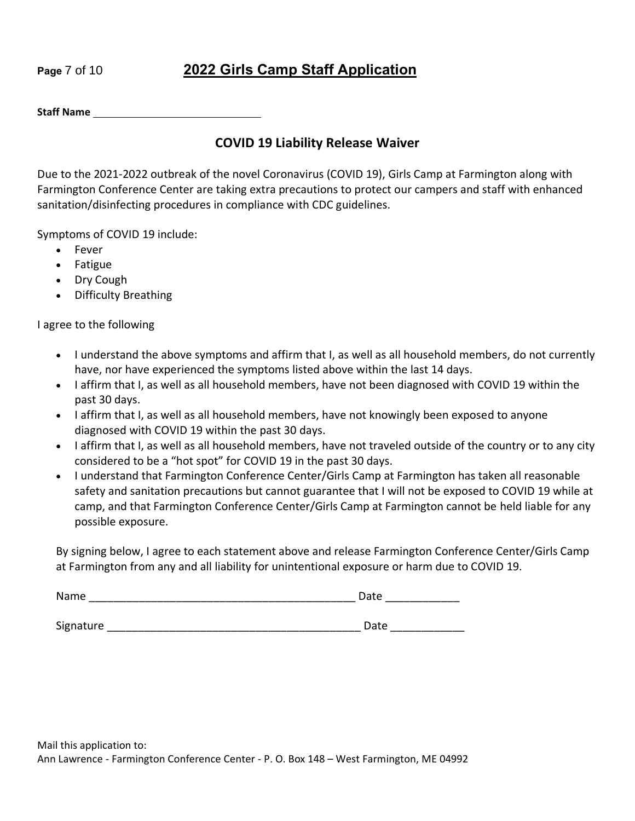# **Page** 7 of 10 **2022 Girls Camp Staff Application**

**Staff Name** 

## **COVID 19 Liability Release Waiver**

Due to the 2021-2022 outbreak of the novel Coronavirus (COVID 19), Girls Camp at Farmington along with Farmington Conference Center are taking extra precautions to protect our campers and staff with enhanced sanitation/disinfecting procedures in compliance with CDC guidelines.

Symptoms of COVID 19 include:

- Fever
- Fatigue
- Dry Cough
- Difficulty Breathing

I agree to the following

- I understand the above symptoms and affirm that I, as well as all household members, do not currently have, nor have experienced the symptoms listed above within the last 14 days.
- I affirm that I, as well as all household members, have not been diagnosed with COVID 19 within the past 30 days.
- I affirm that I, as well as all household members, have not knowingly been exposed to anyone diagnosed with COVID 19 within the past 30 days.
- I affirm that I, as well as all household members, have not traveled outside of the country or to any city considered to be a "hot spot" for COVID 19 in the past 30 days.
- I understand that Farmington Conference Center/Girls Camp at Farmington has taken all reasonable safety and sanitation precautions but cannot guarantee that I will not be exposed to COVID 19 while at camp, and that Farmington Conference Center/Girls Camp at Farmington cannot be held liable for any possible exposure.

By signing below, I agree to each statement above and release Farmington Conference Center/Girls Camp at Farmington from any and all liability for unintentional exposure or harm due to COVID 19.

| Name      | Date |
|-----------|------|
|           |      |
| Signature | Date |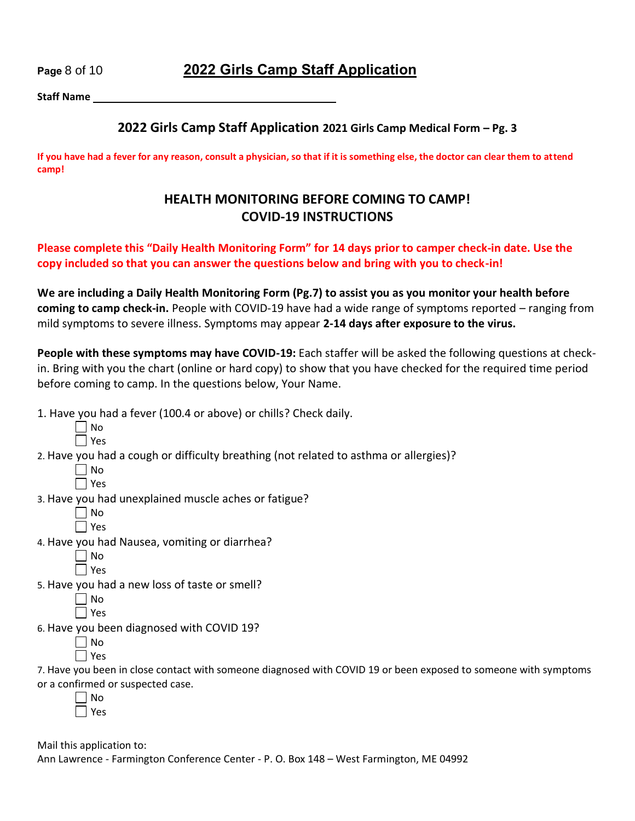## **Page** 8 of 10 **2022 Girls Camp Staff Application**

**Staff Name** 

### **2022 Girls Camp Staff Application 2021 Girls Camp Medical Form – Pg. 3**

**If you have had a fever for any reason, consult a physician, so that if it is something else, the doctor can clear them to attend camp!** 

## **HEALTH MONITORING BEFORE COMING TO CAMP! COVID-19 INSTRUCTIONS**

#### **Please complete this "Daily Health Monitoring Form" for 14 days prior to camper check-in date. Use the copy included so that you can answer the questions below and bring with you to check-in!**

**We are including a Daily Health Monitoring Form (Pg.7) to assist you as you monitor your health before coming to camp check-in.** People with COVID-19 have had a wide range of symptoms reported – ranging from mild symptoms to severe illness. Symptoms may appear **2-14 days after exposure to the virus.** 

People with these symptoms may have COVID-19: Each staffer will be asked the following questions at checkin. Bring with you the chart (online or hard copy) to show that you have checked for the required time period before coming to camp. In the questions below, Your Name.

1. Have you had a fever (100.4 or above) or chills? Check daily.

2. Have you had a cough or difficulty breathing (not related to asthma or allergies)?

| I |
|---|
|   |

3. Have you had unexplained muscle aches or fatigue?

| Ξ |
|---|

4. Have you had Nausea, vomiting or diarrhea?

Yes

5. Have you had a new loss of taste or smell?

| í.<br>ц |
|---------|

6. Have you been diagnosed with COVID 19?

 $\Box$  No

 $\Box$  Yes

7. Have you been in close contact with someone diagnosed with COVID 19 or been exposed to someone with symptoms or a confirmed or suspected case.

 $\Box$  No  $\Box$  Yes

Mail this application to:

Ann Lawrence - Farmington Conference Center - P. O. Box 148 – West Farmington, ME 04992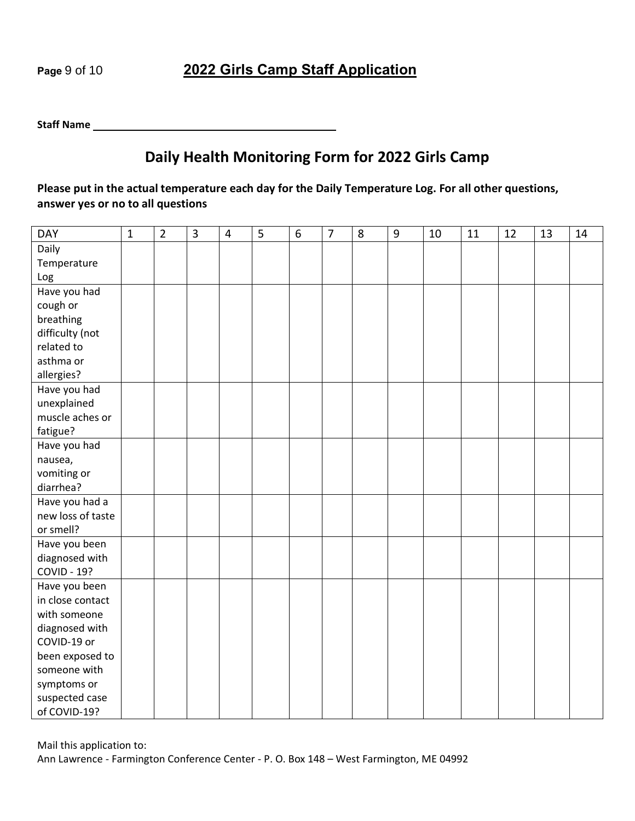## **Page** 9 of 10 **2022 Girls Camp Staff Application**

#### **Staff Name**

# **Daily Health Monitoring Form for 2022 Girls Camp**

**Please put in the actual temperature each day for the Daily Temperature Log. For all other questions, answer yes or no to all questions** 

| <b>DAY</b>         | $\mathbf{1}$ | $\overline{2}$ | $\overline{3}$ | $\overline{4}$ | 5 | 6 | $\overline{7}$ | 8 | $\boldsymbol{9}$ | 10 | 11 | 12 | 13 | 14 |
|--------------------|--------------|----------------|----------------|----------------|---|---|----------------|---|------------------|----|----|----|----|----|
| Daily              |              |                |                |                |   |   |                |   |                  |    |    |    |    |    |
| Temperature        |              |                |                |                |   |   |                |   |                  |    |    |    |    |    |
| Log                |              |                |                |                |   |   |                |   |                  |    |    |    |    |    |
| Have you had       |              |                |                |                |   |   |                |   |                  |    |    |    |    |    |
| cough or           |              |                |                |                |   |   |                |   |                  |    |    |    |    |    |
| breathing          |              |                |                |                |   |   |                |   |                  |    |    |    |    |    |
| difficulty (not    |              |                |                |                |   |   |                |   |                  |    |    |    |    |    |
| related to         |              |                |                |                |   |   |                |   |                  |    |    |    |    |    |
| asthma or          |              |                |                |                |   |   |                |   |                  |    |    |    |    |    |
| allergies?         |              |                |                |                |   |   |                |   |                  |    |    |    |    |    |
| Have you had       |              |                |                |                |   |   |                |   |                  |    |    |    |    |    |
| unexplained        |              |                |                |                |   |   |                |   |                  |    |    |    |    |    |
| muscle aches or    |              |                |                |                |   |   |                |   |                  |    |    |    |    |    |
| fatigue?           |              |                |                |                |   |   |                |   |                  |    |    |    |    |    |
| Have you had       |              |                |                |                |   |   |                |   |                  |    |    |    |    |    |
| nausea,            |              |                |                |                |   |   |                |   |                  |    |    |    |    |    |
| vomiting or        |              |                |                |                |   |   |                |   |                  |    |    |    |    |    |
| diarrhea?          |              |                |                |                |   |   |                |   |                  |    |    |    |    |    |
| Have you had a     |              |                |                |                |   |   |                |   |                  |    |    |    |    |    |
| new loss of taste  |              |                |                |                |   |   |                |   |                  |    |    |    |    |    |
| or smell?          |              |                |                |                |   |   |                |   |                  |    |    |    |    |    |
| Have you been      |              |                |                |                |   |   |                |   |                  |    |    |    |    |    |
| diagnosed with     |              |                |                |                |   |   |                |   |                  |    |    |    |    |    |
| <b>COVID - 19?</b> |              |                |                |                |   |   |                |   |                  |    |    |    |    |    |
| Have you been      |              |                |                |                |   |   |                |   |                  |    |    |    |    |    |
| in close contact   |              |                |                |                |   |   |                |   |                  |    |    |    |    |    |
| with someone       |              |                |                |                |   |   |                |   |                  |    |    |    |    |    |
| diagnosed with     |              |                |                |                |   |   |                |   |                  |    |    |    |    |    |
| COVID-19 or        |              |                |                |                |   |   |                |   |                  |    |    |    |    |    |
| been exposed to    |              |                |                |                |   |   |                |   |                  |    |    |    |    |    |
| someone with       |              |                |                |                |   |   |                |   |                  |    |    |    |    |    |
| symptoms or        |              |                |                |                |   |   |                |   |                  |    |    |    |    |    |
| suspected case     |              |                |                |                |   |   |                |   |                  |    |    |    |    |    |
| of COVID-19?       |              |                |                |                |   |   |                |   |                  |    |    |    |    |    |